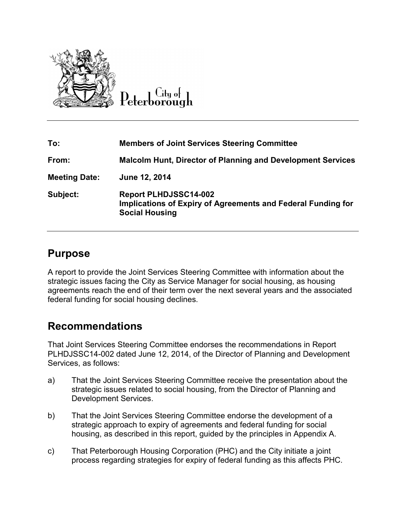

Lity of

| To:                  | <b>Members of Joint Services Steering Committee</b>                                                                   |
|----------------------|-----------------------------------------------------------------------------------------------------------------------|
| From:                | <b>Malcolm Hunt, Director of Planning and Development Services</b>                                                    |
| <b>Meeting Date:</b> | June 12, 2014                                                                                                         |
| Subject:             | <b>Report PLHDJSSC14-002</b><br>Implications of Expiry of Agreements and Federal Funding for<br><b>Social Housing</b> |

# **Purpose**

A report to provide the Joint Services Steering Committee with information about the strategic issues facing the City as Service Manager for social housing, as housing agreements reach the end of their term over the next several years and the associated federal funding for social housing declines.

# **Recommendations**

That Joint Services Steering Committee endorses the recommendations in Report PLHDJSSC14-002 dated June 12, 2014, of the Director of Planning and Development Services, as follows:

- a) That the Joint Services Steering Committee receive the presentation about the strategic issues related to social housing, from the Director of Planning and Development Services.
- b) That the Joint Services Steering Committee endorse the development of a strategic approach to expiry of agreements and federal funding for social housing, as described in this report, guided by the principles in Appendix A.
- c) That Peterborough Housing Corporation (PHC) and the City initiate a joint process regarding strategies for expiry of federal funding as this affects PHC.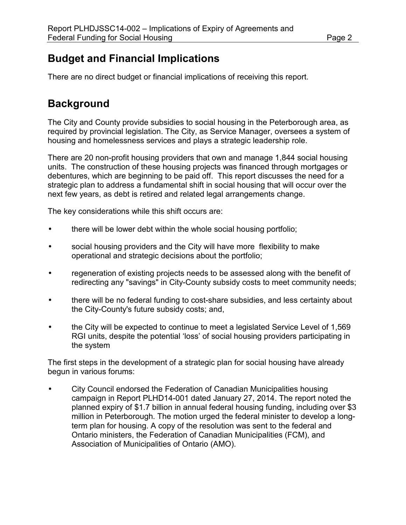# **Budget and Financial Implications**

There are no direct budget or financial implications of receiving this report.

# **Background**

The City and County provide subsidies to social housing in the Peterborough area, as required by provincial legislation. The City, as Service Manager, oversees a system of housing and homelessness services and plays a strategic leadership role.

There are 20 non-profit housing providers that own and manage 1,844 social housing units. The construction of these housing projects was financed through mortgages or debentures, which are beginning to be paid off. This report discusses the need for a strategic plan to address a fundamental shift in social housing that will occur over the next few years, as debt is retired and related legal arrangements change.

The key considerations while this shift occurs are:

- there will be lower debt within the whole social housing portfolio;
- social housing providers and the City will have more flexibility to make operational and strategic decisions about the portfolio;
- regeneration of existing projects needs to be assessed along with the benefit of redirecting any "savings" in City-County subsidy costs to meet community needs;
- there will be no federal funding to cost-share subsidies, and less certainty about the City-County's future subsidy costs; and,
- the City will be expected to continue to meet a legislated Service Level of 1,569 RGI units, despite the potential 'loss' of social housing providers participating in the system

The first steps in the development of a strategic plan for social housing have already begun in various forums:

• City Council endorsed the Federation of Canadian Municipalities housing campaign in Report PLHD14-001 dated January 27, 2014. The report noted the planned expiry of \$1.7 billion in annual federal housing funding, including over \$3 million in Peterborough. The motion urged the federal minister to develop a longterm plan for housing. A copy of the resolution was sent to the federal and Ontario ministers, the Federation of Canadian Municipalities (FCM), and Association of Municipalities of Ontario (AMO).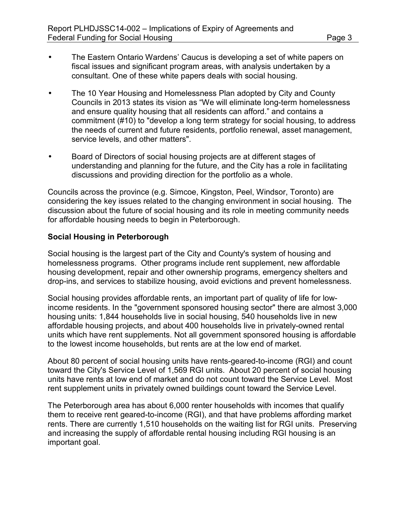- The Eastern Ontario Wardens' Caucus is developing a set of white papers on fiscal issues and significant program areas, with analysis undertaken by a consultant. One of these white papers deals with social housing.
- The 10 Year Housing and Homelessness Plan adopted by City and County Councils in 2013 states its vision as "We will eliminate long-term homelessness and ensure quality housing that all residents can afford." and contains a commitment (#10) to "develop a long term strategy for social housing, to address the needs of current and future residents, portfolio renewal, asset management, service levels, and other matters".
- Board of Directors of social housing projects are at different stages of understanding and planning for the future, and the City has a role in facilitating discussions and providing direction for the portfolio as a whole.

Councils across the province (e.g. Simcoe, Kingston, Peel, Windsor, Toronto) are considering the key issues related to the changing environment in social housing. The discussion about the future of social housing and its role in meeting community needs for affordable housing needs to begin in Peterborough.

#### **Social Housing in Peterborough**

Social housing is the largest part of the City and County's system of housing and homelessness programs. Other programs include rent supplement, new affordable housing development, repair and other ownership programs, emergency shelters and drop-ins, and services to stabilize housing, avoid evictions and prevent homelessness.

Social housing provides affordable rents, an important part of quality of life for lowincome residents. In the "government sponsored housing sector" there are almost 3,000 housing units: 1,844 households live in social housing, 540 households live in new affordable housing projects, and about 400 households live in privately-owned rental units which have rent supplements. Not all government sponsored housing is affordable to the lowest income households, but rents are at the low end of market.

About 80 percent of social housing units have rents-geared-to-income (RGI) and count toward the City's Service Level of 1,569 RGI units. About 20 percent of social housing units have rents at low end of market and do not count toward the Service Level. Most rent supplement units in privately owned buildings count toward the Service Level.

The Peterborough area has about 6,000 renter households with incomes that qualify them to receive rent geared-to-income (RGI), and that have problems affording market rents. There are currently 1,510 households on the waiting list for RGI units. Preserving and increasing the supply of affordable rental housing including RGI housing is an important goal.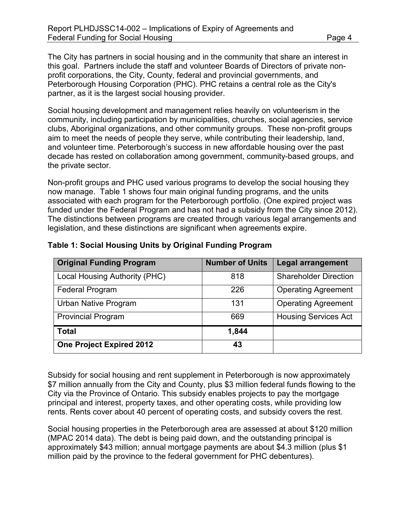The City has partners in social housing and in the community that share an interest in this goal. Partners include the staff and volunteer Boards of Directors of private nonprofit corporations, the City, County, federal and provincial governments, and Peterborough Housing Corporation (PHC). PHC retains a central role as the City's partner, as it is the largest social housing provider.

Social housing development and management relies heavily on volunteerism in the community, including participation by municipalities, churches, social agencies, service clubs, Aboriginal organizations, and other community groups. These non-profit groups aim to meet the needs of people they serve, while contributing their leadership, land, and volunteer time. Peterborough's success in new affordable housing over the past decade has rested on collaboration among government, community-based groups, and the private sector.

Non-profit groups and PHC used various programs to develop the social housing they now manage. Table 1 shows four main original funding programs, and the units associated with each program for the Peterborough portfolio. (One expired project was funded under the Federal Program and has not had a subsidy from the City since 2012). The distinctions between programs are created through various legal arrangements and legislation, and these distinctions are significant when agreements expire.

| <b>Original Funding Program</b> | <b>Number of Units</b> | <b>Legal arrangement</b>     |
|---------------------------------|------------------------|------------------------------|
| Local Housing Authority (PHC)   | 818                    | <b>Shareholder Direction</b> |
| <b>Federal Program</b>          | 226                    | <b>Operating Agreement</b>   |
| <b>Urban Native Program</b>     | 131                    | <b>Operating Agreement</b>   |
| <b>Provincial Program</b>       | 669                    | <b>Housing Services Act</b>  |
| <b>Total</b>                    | 1,844                  |                              |
| <b>One Project Expired 2012</b> | 43                     |                              |

### **Table 1: Social Housing Units by Original Funding Program**

Subsidy for social housing and rent supplement in Peterborough is now approximately \$7 million annually from the City and County, plus \$3 million federal funds flowing to the City via the Province of Ontario. This subsidy enables projects to pay the mortgage principal and interest, property taxes, and other operating costs, while providing low rents. Rents cover about 40 percent of operating costs, and subsidy covers the rest.

Social housing properties in the Peterborough area are assessed at about \$120 million (MPAC 2014 data). The debt is being paid down, and the outstanding principal is approximately \$43 million; annual mortgage payments are about \$4.3 million (plus \$1 million paid by the province to the federal government for PHC debentures).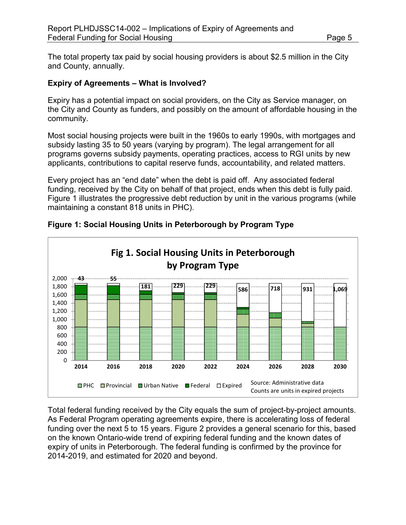The total property tax paid by social housing providers is about \$2.5 million in the City and County, annually.

#### **Expiry of Agreements – What is Involved?**

Expiry has a potential impact on social providers, on the City as Service manager, on the City and County as funders, and possibly on the amount of affordable housing in the community.

Most social housing projects were built in the 1960s to early 1990s, with mortgages and subsidy lasting 35 to 50 years (varying by program). The legal arrangement for all programs governs subsidy payments, operating practices, access to RGI units by new applicants, contributions to capital reserve funds, accountability, and related matters.

Every project has an "end date" when the debt is paid off. Any associated federal funding, received by the City on behalf of that project, ends when this debt is fully paid. Figure 1 illustrates the progressive debt reduction by unit in the various programs (while maintaining a constant 818 units in PHC).



**Figure 1: Social Housing Units in Peterborough by Program Type** 

Total federal funding received by the City equals the sum of project-by-project amounts. As Federal Program operating agreements expire, there is accelerating loss of federal funding over the next 5 to 15 years. Figure 2 provides a general scenario for this, based on the known Ontario-wide trend of expiring federal funding and the known dates of expiry of units in Peterborough. The federal funding is confirmed by the province for 2014-2019, and estimated for 2020 and beyond.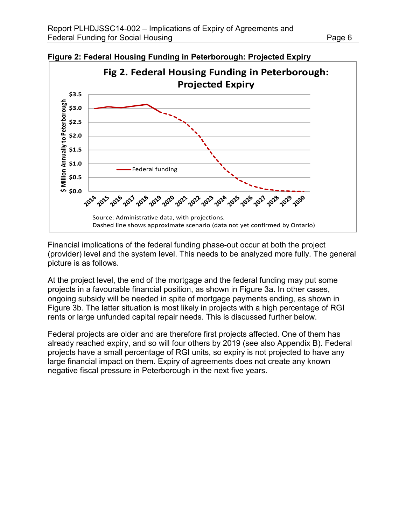

**Figure 2: Federal Housing Funding in Peterborough: Projected Expiry** 

Financial implications of the federal funding phase-out occur at both the project (provider) level and the system level. This needs to be analyzed more fully. The general picture is as follows.

At the project level, the end of the mortgage and the federal funding may put some projects in a favourable financial position, as shown in Figure 3a. In other cases, ongoing subsidy will be needed in spite of mortgage payments ending, as shown in Figure 3b. The latter situation is most likely in projects with a high percentage of RGI rents or large unfunded capital repair needs. This is discussed further below.

Federal projects are older and are therefore first projects affected. One of them has already reached expiry, and so will four others by 2019 (see also Appendix B). Federal projects have a small percentage of RGI units, so expiry is not projected to have any large financial impact on them. Expiry of agreements does not create any known negative fiscal pressure in Peterborough in the next five years.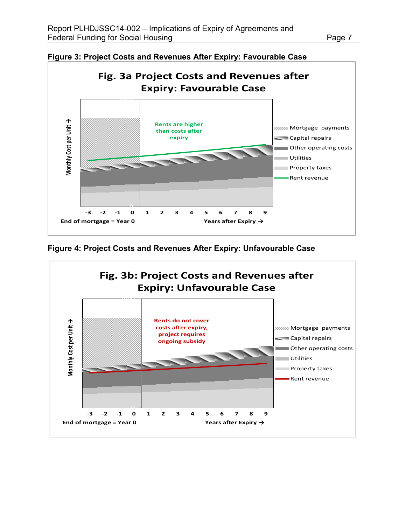

**Figure 3: Project Costs and Revenues After Expiry: Favourable Case** 

**Figure 4: Project Costs and Revenues After Expiry: Unfavourable Case** 

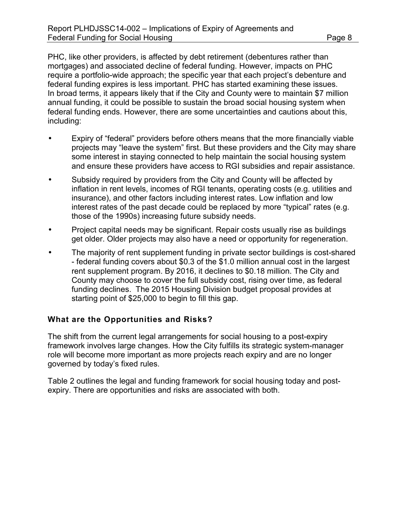PHC, like other providers, is affected by debt retirement (debentures rather than mortgages) and associated decline of federal funding. However, impacts on PHC require a portfolio-wide approach; the specific year that each project's debenture and federal funding expires is less important. PHC has started examining these issues. In broad terms, it appears likely that if the City and County were to maintain \$7 million annual funding, it could be possible to sustain the broad social housing system when federal funding ends. However, there are some uncertainties and cautions about this, including:

- Expiry of "federal" providers before others means that the more financially viable projects may "leave the system" first. But these providers and the City may share some interest in staying connected to help maintain the social housing system and ensure these providers have access to RGI subsidies and repair assistance.
- Subsidy required by providers from the City and County will be affected by inflation in rent levels, incomes of RGI tenants, operating costs (e.g. utilities and insurance), and other factors including interest rates. Low inflation and low interest rates of the past decade could be replaced by more "typical" rates (e.g. those of the 1990s) increasing future subsidy needs.
- Project capital needs may be significant. Repair costs usually rise as buildings get older. Older projects may also have a need or opportunity for regeneration.
- The majority of rent supplement funding in private sector buildings is cost-shared - federal funding covers about \$0.3 of the \$1.0 million annual cost in the largest rent supplement program. By 2016, it declines to \$0.18 million. The City and County may choose to cover the full subsidy cost, rising over time, as federal funding declines. The 2015 Housing Division budget proposal provides at starting point of \$25,000 to begin to fill this gap.

#### **What are the Opportunities and Risks?**

The shift from the current legal arrangements for social housing to a post-expiry framework involves large changes. How the City fulfills its strategic system-manager role will become more important as more projects reach expiry and are no longer governed by today's fixed rules.

Table 2 outlines the legal and funding framework for social housing today and postexpiry. There are opportunities and risks are associated with both.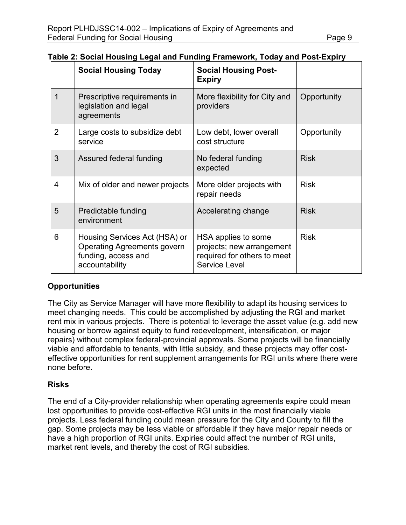|   | <b>Social Housing Today</b>                                                                                  | <b>Social Housing Post-</b><br><b>Expiry</b>                                                     |             |
|---|--------------------------------------------------------------------------------------------------------------|--------------------------------------------------------------------------------------------------|-------------|
| 1 | Prescriptive requirements in<br>legislation and legal<br>agreements                                          | More flexibility for City and<br>providers                                                       | Opportunity |
| 2 | Large costs to subsidize debt<br>service                                                                     | Low debt, lower overall<br>cost structure                                                        | Opportunity |
| 3 | Assured federal funding                                                                                      | No federal funding<br>expected                                                                   | <b>Risk</b> |
| 4 | Mix of older and newer projects                                                                              | More older projects with<br>repair needs                                                         | <b>Risk</b> |
| 5 | Predictable funding<br>environment                                                                           | Accelerating change                                                                              | <b>Risk</b> |
| 6 | Housing Services Act (HSA) or<br><b>Operating Agreements govern</b><br>funding, access and<br>accountability | HSA applies to some<br>projects; new arrangement<br>required for others to meet<br>Service Level | <b>Risk</b> |

### **Table 2: Social Housing Legal and Funding Framework, Today and Post-Expiry**

### **Opportunities**

The City as Service Manager will have more flexibility to adapt its housing services to meet changing needs. This could be accomplished by adjusting the RGI and market rent mix in various projects. There is potential to leverage the asset value (e.g. add new housing or borrow against equity to fund redevelopment, intensification, or major repairs) without complex federal-provincial approvals. Some projects will be financially viable and affordable to tenants, with little subsidy, and these projects may offer costeffective opportunities for rent supplement arrangements for RGI units where there were none before.

#### **Risks**

The end of a City-provider relationship when operating agreements expire could mean lost opportunities to provide cost-effective RGI units in the most financially viable projects. Less federal funding could mean pressure for the City and County to fill the gap. Some projects may be less viable or affordable if they have major repair needs or have a high proportion of RGI units. Expiries could affect the number of RGI units, market rent levels, and thereby the cost of RGI subsidies.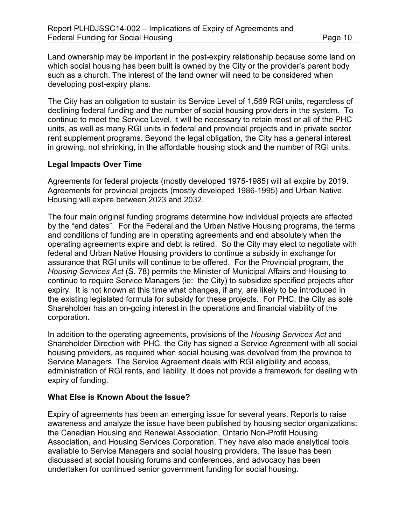Land ownership may be important in the post-expiry relationship because some land on which social housing has been built is owned by the City or the provider's parent body such as a church. The interest of the land owner will need to be considered when developing post-expiry plans.

The City has an obligation to sustain its Service Level of 1,569 RGI units, regardless of declining federal funding and the number of social housing providers in the system. To continue to meet the Service Level, it will be necessary to retain most or all of the PHC units, as well as many RGI units in federal and provincial projects and in private sector rent supplement programs. Beyond the legal obligation, the City has a general interest in growing, not shrinking, in the affordable housing stock and the number of RGI units.

#### **Legal Impacts Over Time**

Agreements for federal projects (mostly developed 1975-1985) will all expire by 2019. Agreements for provincial projects (mostly developed 1986-1995) and Urban Native Housing will expire between 2023 and 2032.

The four main original funding programs determine how individual projects are affected by the "end dates". For the Federal and the Urban Native Housing programs, the terms and conditions of funding are in operating agreements and end absolutely when the operating agreements expire and debt is retired. So the City may elect to negotiate with federal and Urban Native Housing providers to continue a subsidy in exchange for assurance that RGI units will continue to be offered. For the Provincial program, the *Housing Services Act* (S. 78) permits the Minister of Municipal Affairs and Housing to continue to require Service Managers (ie: the City) to subsidize specified projects after expiry. It is not known at this time what changes, if any, are likely to be introduced in the existing legislated formula for subsidy for these projects. For PHC, the City as sole Shareholder has an on-going interest in the operations and financial viability of the corporation.

In addition to the operating agreements, provisions of the *Housing Services Act* and Shareholder Direction with PHC, the City has signed a Service Agreement with all social housing providers, as required when social housing was devolved from the province to Service Managers. The Service Agreement deals with RGI eligibility and access, administration of RGI rents, and liability. It does not provide a framework for dealing with expiry of funding.

#### **What Else is Known About the Issue?**

Expiry of agreements has been an emerging issue for several years. Reports to raise awareness and analyze the issue have been published by housing sector organizations: the Canadian Housing and Renewal Association, Ontario Non-Profit Housing Association, and Housing Services Corporation. They have also made analytical tools available to Service Managers and social housing providers. The issue has been discussed at social housing forums and conferences, and advocacy has been undertaken for continued senior government funding for social housing.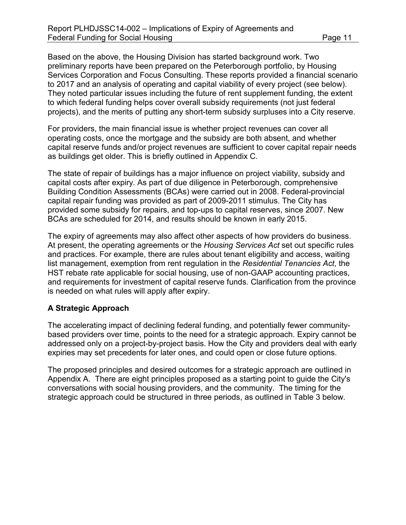Based on the above, the Housing Division has started background work. Two preliminary reports have been prepared on the Peterborough portfolio, by Housing Services Corporation and Focus Consulting. These reports provided a financial scenario to 2017 and an analysis of operating and capital viability of every project (see below). They noted particular issues including the future of rent supplement funding, the extent to which federal funding helps cover overall subsidy requirements (not just federal projects), and the merits of putting any short-term subsidy surpluses into a City reserve.

For providers, the main financial issue is whether project revenues can cover all operating costs, once the mortgage and the subsidy are both absent, and whether capital reserve funds and/or project revenues are sufficient to cover capital repair needs as buildings get older. This is briefly outlined in Appendix C.

The state of repair of buildings has a major influence on project viability, subsidy and capital costs after expiry. As part of due diligence in Peterborough, comprehensive Building Condition Assessments (BCAs) were carried out in 2008. Federal-provincial capital repair funding was provided as part of 2009-2011 stimulus. The City has provided some subsidy for repairs, and top-ups to capital reserves, since 2007. New BCAs are scheduled for 2014, and results should be known in early 2015.

The expiry of agreements may also affect other aspects of how providers do business. At present, the operating agreements or the *Housing Services Act* set out specific rules and practices. For example, there are rules about tenant eligibility and access, waiting list management, exemption from rent regulation in the *Residential Tenancies Act*, the HST rebate rate applicable for social housing, use of non-GAAP accounting practices, and requirements for investment of capital reserve funds. Clarification from the province is needed on what rules will apply after expiry.

#### **A Strategic Approach**

The accelerating impact of declining federal funding, and potentially fewer communitybased providers over time, points to the need for a strategic approach. Expiry cannot be addressed only on a project-by-project basis. How the City and providers deal with early expiries may set precedents for later ones, and could open or close future options.

The proposed principles and desired outcomes for a strategic approach are outlined in Appendix A. There are eight principles proposed as a starting point to guide the City's conversations with social housing providers, and the community. The timing for the strategic approach could be structured in three periods, as outlined in Table 3 below.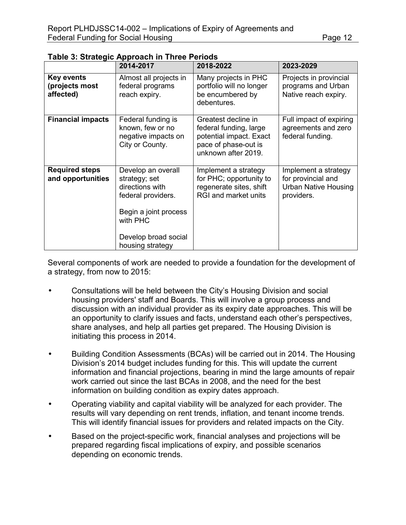|                                                  | יין יוי דיינטי<br>2014-2017                                                                                                                                   | 2018-2022                                                                                                               | 2023-2029                                                                               |
|--------------------------------------------------|---------------------------------------------------------------------------------------------------------------------------------------------------------------|-------------------------------------------------------------------------------------------------------------------------|-----------------------------------------------------------------------------------------|
| <b>Key events</b><br>(projects most<br>affected) | Almost all projects in<br>federal programs<br>reach expiry.                                                                                                   | Many projects in PHC<br>portfolio will no longer<br>be encumbered by<br>debentures.                                     | Projects in provincial<br>programs and Urban<br>Native reach expiry.                    |
| <b>Financial impacts</b>                         | Federal funding is<br>known, few or no<br>negative impacts on<br>City or County.                                                                              | Greatest decline in<br>federal funding, large<br>potential impact. Exact<br>pace of phase-out is<br>unknown after 2019. | Full impact of expiring<br>agreements and zero<br>federal funding.                      |
| <b>Required steps</b><br>and opportunities       | Develop an overall<br>strategy; set<br>directions with<br>federal providers.<br>Begin a joint process<br>with PHC<br>Develop broad social<br>housing strategy | Implement a strategy<br>for PHC; opportunity to<br>regenerate sites, shift<br>RGI and market units                      | Implement a strategy<br>for provincial and<br><b>Urban Native Housing</b><br>providers. |

**Table 3: Strategic Approach in Three Periods** 

Several components of work are needed to provide a foundation for the development of a strategy, from now to 2015:

- Consultations will be held between the City's Housing Division and social housing providers' staff and Boards. This will involve a group process and discussion with an individual provider as its expiry date approaches. This will be an opportunity to clarify issues and facts, understand each other's perspectives, share analyses, and help all parties get prepared. The Housing Division is initiating this process in 2014.
- Building Condition Assessments (BCAs) will be carried out in 2014. The Housing Division's 2014 budget includes funding for this. This will update the current information and financial projections, bearing in mind the large amounts of repair work carried out since the last BCAs in 2008, and the need for the best information on building condition as expiry dates approach.
- Operating viability and capital viability will be analyzed for each provider. The results will vary depending on rent trends, inflation, and tenant income trends. This will identify financial issues for providers and related impacts on the City.
- Based on the project-specific work, financial analyses and projections will be prepared regarding fiscal implications of expiry, and possible scenarios depending on economic trends.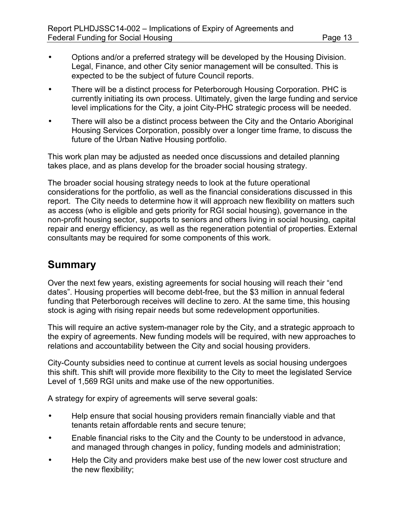- Options and/or a preferred strategy will be developed by the Housing Division. Legal, Finance, and other City senior management will be consulted. This is expected to be the subject of future Council reports.
- There will be a distinct process for Peterborough Housing Corporation. PHC is currently initiating its own process. Ultimately, given the large funding and service level implications for the City, a joint City-PHC strategic process will be needed.
- There will also be a distinct process between the City and the Ontario Aboriginal Housing Services Corporation, possibly over a longer time frame, to discuss the future of the Urban Native Housing portfolio.

This work plan may be adjusted as needed once discussions and detailed planning takes place, and as plans develop for the broader social housing strategy.

The broader social housing strategy needs to look at the future operational considerations for the portfolio, as well as the financial considerations discussed in this report. The City needs to determine how it will approach new flexibility on matters such as access (who is eligible and gets priority for RGI social housing), governance in the non-profit housing sector, supports to seniors and others living in social housing, capital repair and energy efficiency, as well as the regeneration potential of properties. External consultants may be required for some components of this work.

# **Summary**

Over the next few years, existing agreements for social housing will reach their "end dates". Housing properties will become debt-free, but the \$3 million in annual federal funding that Peterborough receives will decline to zero. At the same time, this housing stock is aging with rising repair needs but some redevelopment opportunities.

This will require an active system-manager role by the City, and a strategic approach to the expiry of agreements. New funding models will be required, with new approaches to relations and accountability between the City and social housing providers.

City-County subsidies need to continue at current levels as social housing undergoes this shift. This shift will provide more flexibility to the City to meet the legislated Service Level of 1,569 RGI units and make use of the new opportunities.

A strategy for expiry of agreements will serve several goals:

- Help ensure that social housing providers remain financially viable and that tenants retain affordable rents and secure tenure;
- Enable financial risks to the City and the County to be understood in advance, and managed through changes in policy, funding models and administration;
- Help the City and providers make best use of the new lower cost structure and the new flexibility;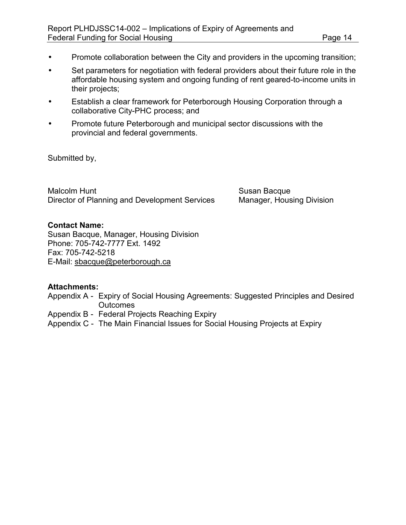- Promote collaboration between the City and providers in the upcoming transition;
- Set parameters for negotiation with federal providers about their future role in the affordable housing system and ongoing funding of rent geared-to-income units in their projects;
- Establish a clear framework for Peterborough Housing Corporation through a collaborative City-PHC process; and
- Promote future Peterborough and municipal sector discussions with the provincial and federal governments.

Submitted by,

Malcolm Hunt **Malcolm Hunt** Susan Bacque Director of Planning and Development Services Manager, Housing Division

#### **Contact Name:**

Susan Bacque, Manager, Housing Division Phone: 705-742-7777 Ext. 1492 Fax: 705-742-5218 E-Mail: [sbacque@peterborough.ca](mailto:sbacque@peterborough.ca)

### **Attachments:**

- Appendix A Expiry of Social Housing Agreements: Suggested Principles and Desired **Outcomes**
- Appendix B Federal Projects Reaching Expiry
- Appendix C The Main Financial Issues for Social Housing Projects at Expiry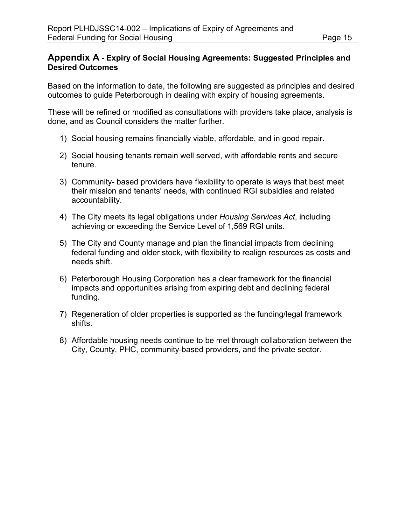### **Appendix A - Expiry of Social Housing Agreements: Suggested Principles and Desired Outcomes**

Based on the information to date, the following are suggested as principles and desired outcomes to guide Peterborough in dealing with expiry of housing agreements.

These will be refined or modified as consultations with providers take place, analysis is done, and as Council considers the matter further.

- 1) Social housing remains financially viable, affordable, and in good repair.
- 2) Social housing tenants remain well served, with affordable rents and secure tenure.
- 3) Community- based providers have flexibility to operate is ways that best meet their mission and tenants' needs, with continued RGI subsidies and related accountability.
- 4) The City meets its legal obligations under *Housing Services Act*, including achieving or exceeding the Service Level of 1,569 RGI units.
- 5) The City and County manage and plan the financial impacts from declining federal funding and older stock, with flexibility to realign resources as costs and needs shift.
- 6) Peterborough Housing Corporation has a clear framework for the financial impacts and opportunities arising from expiring debt and declining federal funding.
- 7) Regeneration of older properties is supported as the funding/legal framework shifts.
- 8) Affordable housing needs continue to be met through collaboration between the City, County, PHC, community-based providers, and the private sector.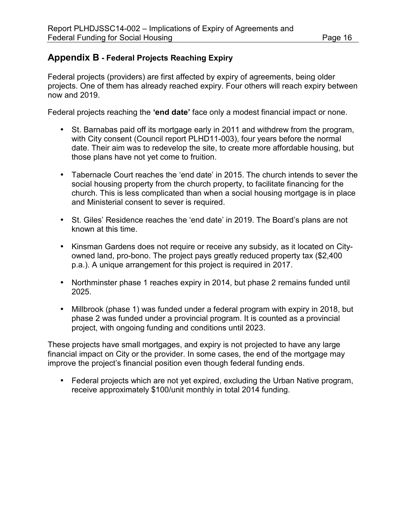## **Appendix B - Federal Projects Reaching Expiry**

Federal projects (providers) are first affected by expiry of agreements, being older projects. One of them has already reached expiry. Four others will reach expiry between now and 2019.

Federal projects reaching the **'end date'** face only a modest financial impact or none.

- St. Barnabas paid off its mortgage early in 2011 and withdrew from the program, with City consent (Council report PLHD11-003), four years before the normal date. Their aim was to redevelop the site, to create more affordable housing, but those plans have not yet come to fruition.
- Tabernacle Court reaches the 'end date' in 2015. The church intends to sever the social housing property from the church property, to facilitate financing for the church. This is less complicated than when a social housing mortgage is in place and Ministerial consent to sever is required.
- St. Giles' Residence reaches the 'end date' in 2019. The Board's plans are not known at this time.
- Kinsman Gardens does not require or receive any subsidy, as it located on Cityowned land, pro-bono. The project pays greatly reduced property tax (\$2,400 p.a.). A unique arrangement for this project is required in 2017.
- Northminster phase 1 reaches expiry in 2014, but phase 2 remains funded until 2025.
- Millbrook (phase 1) was funded under a federal program with expiry in 2018, but phase 2 was funded under a provincial program. It is counted as a provincial project, with ongoing funding and conditions until 2023.

These projects have small mortgages, and expiry is not projected to have any large financial impact on City or the provider. In some cases, the end of the mortgage may improve the project's financial position even though federal funding ends.

• Federal projects which are not yet expired, excluding the Urban Native program, receive approximately \$100/unit monthly in total 2014 funding.